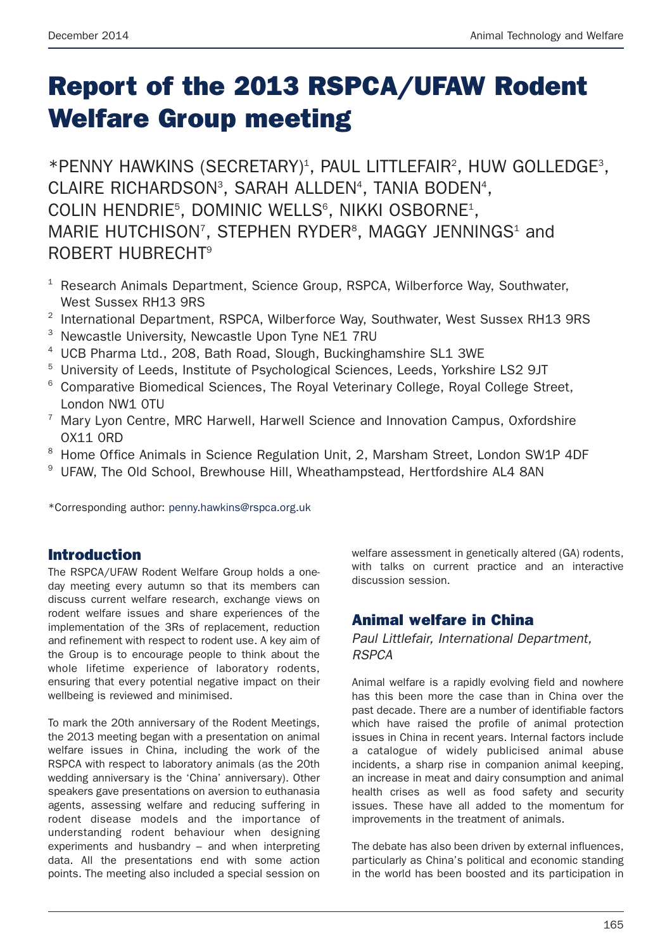# **Report of the 2013 RSPCA/UFAW Rodent Welfare Group meeting**

\*PENNY HAWKINS (SECRETARY)<sup>1</sup>, PAUL LITTLEFAIR<sup>2</sup>, HUW GOLLEDGE<sup>3</sup>, CLAIRE RICHARDSON<sup>3</sup>, SARAH ALLDEN<sup>4</sup>, TANIA BODEN<sup>4</sup>, COLIN HENDRIE<sup>5</sup>, DOMINIC WELLS<sup>6</sup>, NIKKI OSBORNE<sup>1</sup>, MARIE HUTCHISON<sup>7</sup>, STEPHEN RYDER<sup>8</sup>, MAGGY JENNINGS<sup>1</sup> and ROBERT HUBRECHT9

- $1$  Research Animals Department, Science Group, RSPCA, Wilberforce Way, Southwater, West Sussex RH13 9RS
- <sup>2</sup> International Department, RSPCA, Wilberforce Way, Southwater, West Sussex RH13 9RS
- <sup>3</sup> Newcastle University, Newcastle Upon Tyne NE1 7RU
- <sup>4</sup> UCB Pharma Ltd., 208, Bath Road, Slough, Buckinghamshire SL1 3WE
- <sup>5</sup> University of Leeds, Institute of Psychological Sciences, Leeds, Yorkshire LS2 9JT
- <sup>6</sup> Comparative Biomedical Sciences, The Royal Veterinary College, Royal College Street, London NW1 0TU
- $7$  Mary Lyon Centre, MRC Harwell, Harwell Science and Innovation Campus, Oxfordshire OX11 0RD
- <sup>8</sup> Home Office Animals in Science Regulation Unit, 2, Marsham Street, London SW1P 4DF
- <sup>9</sup> UFAW, The Old School, Brewhouse Hill, Wheathampstead, Hertfordshire AL4 8AN

\*Corresponding author: penny.hawkins@rspca.org.uk

### **Introduction**

The RSPCA/UFAW Rodent Welfare Group holds a oneday meeting every autumn so that its members can discuss current welfare research, exchange views on rodent welfare issues and share experiences of the implementation of the 3Rs of replacement, reduction and refinement with respect to rodent use. A key aim of the Group is to encourage people to think about the whole lifetime experience of laboratory rodents, ensuring that every potential negative impact on their wellbeing is reviewed and minimised.

To mark the 20th anniversary of the Rodent Meetings, the 2013 meeting began with a presentation on animal welfare issues in China, including the work of the RSPCA with respect to laboratory animals (as the 20th wedding anniversary is the 'China' anniversary). Other speakers gave presentations on aversion to euthanasia agents, assessing welfare and reducing suffering in rodent disease models and the importance of understanding rodent behaviour when designing experiments and husbandry – and when interpreting data. All the presentations end with some action points. The meeting also included a special session on

welfare assessment in genetically altered (GA) rodents, with talks on current practice and an interactive discussion session.

### **Animal welfare in China**

*Paul Littlefair, International Department, RSPCA*

Animal welfare is a rapidly evolving field and nowhere has this been more the case than in China over the past decade. There are a number of identifiable factors which have raised the profile of animal protection issues in China in recent years. Internal factors include a catalogue of widely publicised animal abuse incidents, a sharp rise in companion animal keeping, an increase in meat and dairy consumption and animal health crises as well as food safety and security issues. These have all added to the momentum for improvements in the treatment of animals.

The debate has also been driven by external influences, particularly as China's political and economic standing in the world has been boosted and its participation in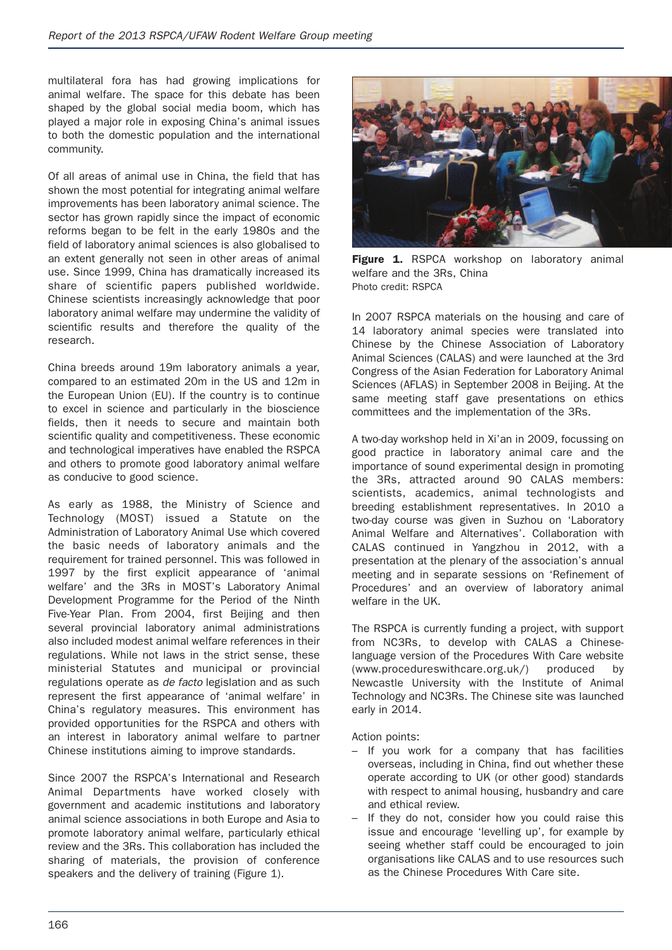multilateral fora has had growing implications for animal welfare. The space for this debate has been shaped by the global social media boom, which has played a major role in exposing China's animal issues to both the domestic population and the international community.

Of all areas of animal use in China, the field that has shown the most potential for integrating animal welfare improvements has been laboratory animal science. The sector has grown rapidly since the impact of economic reforms began to be felt in the early 1980s and the field of laboratory animal sciences is also globalised to an extent generally not seen in other areas of animal use. Since 1999, China has dramatically increased its share of scientific papers published worldwide. Chinese scientists increasingly acknowledge that poor laboratory animal welfare may undermine the validity of scientific results and therefore the quality of the research.

China breeds around 19m laboratory animals a year, compared to an estimated 20m in the US and 12m in the European Union (EU). If the country is to continue to excel in science and particularly in the bioscience fields, then it needs to secure and maintain both scientific quality and competitiveness. These economic and technological imperatives have enabled the RSPCA and others to promote good laboratory animal welfare as conducive to good science.

As early as 1988, the Ministry of Science and Technology (MOST) issued a Statute on the Administration of Laboratory Animal Use which covered the basic needs of laboratory animals and the requirement for trained personnel. This was followed in 1997 by the first explicit appearance of 'animal welfare' and the 3Rs in MOST's Laboratory Animal Development Programme for the Period of the Ninth Five-Year Plan. From 2004, first Beijing and then several provincial laboratory animal administrations also included modest animal welfare references in their regulations. While not laws in the strict sense, these ministerial Statutes and municipal or provincial regulations operate as *de facto* legislation and as such represent the first appearance of 'animal welfare' in China's regulatory measures. This environment has provided opportunities for the RSPCA and others with an interest in laboratory animal welfare to partner Chinese institutions aiming to improve standards.

Since 2007 the RSPCA's International and Research Animal Departments have worked closely with government and academic institutions and laboratory animal science associations in both Europe and Asia to promote laboratory animal welfare, particularly ethical review and the 3Rs. This collaboration has included the sharing of materials, the provision of conference speakers and the delivery of training (Figure 1).



**Figure 1.** RSPCA workshop on laboratory animal welfare and the 3Rs, China Photo credit: RSPCA

In 2007 RSPCA materials on the housing and care of 14 laboratory animal species were translated into Chinese by the Chinese Association of Laboratory Animal Sciences (CALAS) and were launched at the 3rd Congress of the Asian Federation for Laboratory Animal Sciences (AFLAS) in September 2008 in Beijing. At the same meeting staff gave presentations on ethics committees and the implementation of the 3Rs.

A two-day workshop held in Xi'an in 2009, focussing on good practice in laboratory animal care and the importance of sound experimental design in promoting the 3Rs, attracted around 90 CALAS members: scientists, academics, animal technologists and breeding establishment representatives. In 2010 a two-day course was given in Suzhou on 'Laboratory Animal Welfare and Alternatives'. Collaboration with CALAS continued in Yangzhou in 2012, with a presentation at the plenary of the association's annual meeting and in separate sessions on 'Refinement of Procedures' and an overview of laboratory animal welfare in the UK.

The RSPCA is currently funding a project, with support from NC3Rs, to develop with CALAS a Chineselanguage version of the Procedures With Care website (www.procedureswithcare.org.uk/) produced by Newcastle University with the Institute of Animal Technology and NC3Rs. The Chinese site was launched early in 2014.

- If you work for a company that has facilities overseas, including in China, find out whether these operate according to UK (or other good) standards with respect to animal housing, husbandry and care and ethical review.
- If they do not, consider how you could raise this issue and encourage 'levelling up', for example by seeing whether staff could be encouraged to join organisations like CALAS and to use resources such as the Chinese Procedures With Care site.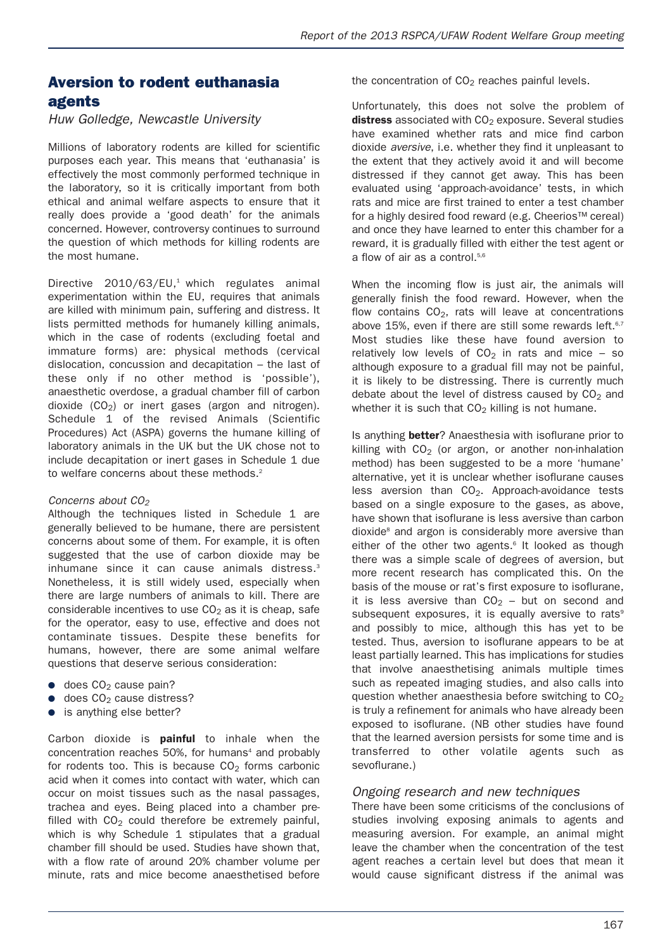### **Aversion to rodent euthanasia agents**

#### *Huw Golledge, Newcastle University*

Millions of laboratory rodents are killed for scientific purposes each year. This means that 'euthanasia' is effectively the most commonly performed technique in the laboratory, so it is critically important from both ethical and animal welfare aspects to ensure that it really does provide a 'good death' for the animals concerned. However, controversy continues to surround the question of which methods for killing rodents are the most humane.

Directive 2010/63/EU.<sup>1</sup> which regulates animal experimentation within the EU, requires that animals are killed with minimum pain, suffering and distress. It lists permitted methods for humanely killing animals, which in the case of rodents (excluding foetal and immature forms) are: physical methods (cervical dislocation, concussion and decapitation – the last of these only if no other method is 'possible'), anaesthetic overdose, a gradual chamber fill of carbon dioxide  $(CO<sub>2</sub>)$  or inert gases (argon and nitrogen). Schedule 1 of the revised Animals (Scientific Procedures) Act (ASPA) governs the humane killing of laboratory animals in the UK but the UK chose not to include decapitation or inert gases in Schedule 1 due to welfare concerns about these methods.<sup>2</sup>

#### *Concerns about CO2*

Although the techniques listed in Schedule 1 are generally believed to be humane, there are persistent concerns about some of them. For example, it is often suggested that the use of carbon dioxide may be inhumane since it can cause animals distress.<sup>3</sup> Nonetheless, it is still widely used, especially when there are large numbers of animals to kill. There are considerable incentives to use  $CO<sub>2</sub>$  as it is cheap, safe for the operator, easy to use, effective and does not contaminate tissues. Despite these benefits for humans, however, there are some animal welfare questions that deserve serious consideration:

- $\bullet$  does CO<sub>2</sub> cause pain?
- $\bullet$  does CO<sub>2</sub> cause distress?
- is anything else better?

Carbon dioxide is **painful** to inhale when the concentration reaches 50%, for humans<sup>4</sup> and probably for rodents too. This is because  $CO<sub>2</sub>$  forms carbonic acid when it comes into contact with water, which can occur on moist tissues such as the nasal passages, trachea and eyes. Being placed into a chamber prefilled with  $CO<sub>2</sub>$  could therefore be extremely painful, which is why Schedule 1 stipulates that a gradual chamber fill should be used. Studies have shown that, with a flow rate of around 20% chamber volume per minute, rats and mice become anaesthetised before

the concentration of  $CO<sub>2</sub>$  reaches painful levels.

Unfortunately, this does not solve the problem of **distress** associated with CO<sub>2</sub> exposure. Several studies have examined whether rats and mice find carbon dioxide *aversive*, i.e. whether they find it unpleasant to the extent that they actively avoid it and will become distressed if they cannot get away. This has been evaluated using 'approach-avoidance' tests, in which rats and mice are first trained to enter a test chamber for a highly desired food reward (e.g. Cheerios™ cereal) and once they have learned to enter this chamber for a reward, it is gradually filled with either the test agent or a flow of air as a control.<sup>5,6</sup>

When the incoming flow is just air, the animals will generally finish the food reward. However, when the flow contains  $CO<sub>2</sub>$ , rats will leave at concentrations above 15%, even if there are still some rewards left.<sup>6,7</sup> Most studies like these have found aversion to relatively low levels of  $CO<sub>2</sub>$  in rats and mice – so although exposure to a gradual fill may not be painful, it is likely to be distressing. There is currently much debate about the level of distress caused by  $CO<sub>2</sub>$  and whether it is such that  $CO<sub>2</sub>$  killing is not humane.

Is anything **better**? Anaesthesia with isoflurane prior to killing with  $CO<sub>2</sub>$  (or argon, or another non-inhalation method) has been suggested to be a more 'humane' alternative, yet it is unclear whether isoflurane causes less aversion than  $CO<sub>2</sub>$ . Approach-avoidance tests based on a single exposure to the gases, as above, have shown that isoflurane is less aversive than carbon dioxide<sup>8</sup> and argon is considerably more aversive than either of the other two agents. <sup>6</sup> It looked as though there was a simple scale of degrees of aversion, but more recent research has complicated this. On the basis of the mouse or rat's first exposure to isoflurane, it is less aversive than  $CO<sub>2</sub>$  – but on second and subsequent exposures, it is equally aversive to rats<sup>9</sup> and possibly to mice, although this has yet to be tested. Thus, aversion to isoflurane appears to be at least partially learned. This has implications for studies that involve anaesthetising animals multiple times such as repeated imaging studies, and also calls into question whether anaesthesia before switching to  $CO<sub>2</sub>$ is truly a refinement for animals who have already been exposed to isoflurane. (NB other studies have found that the learned aversion persists for some time and is transferred to other volatile agents such as sevoflurane.)

#### *Ongoing research and new techniques*

There have been some criticisms of the conclusions of studies involving exposing animals to agents and measuring aversion. For example, an animal might leave the chamber when the concentration of the test agent reaches a certain level but does that mean it would cause significant distress if the animal was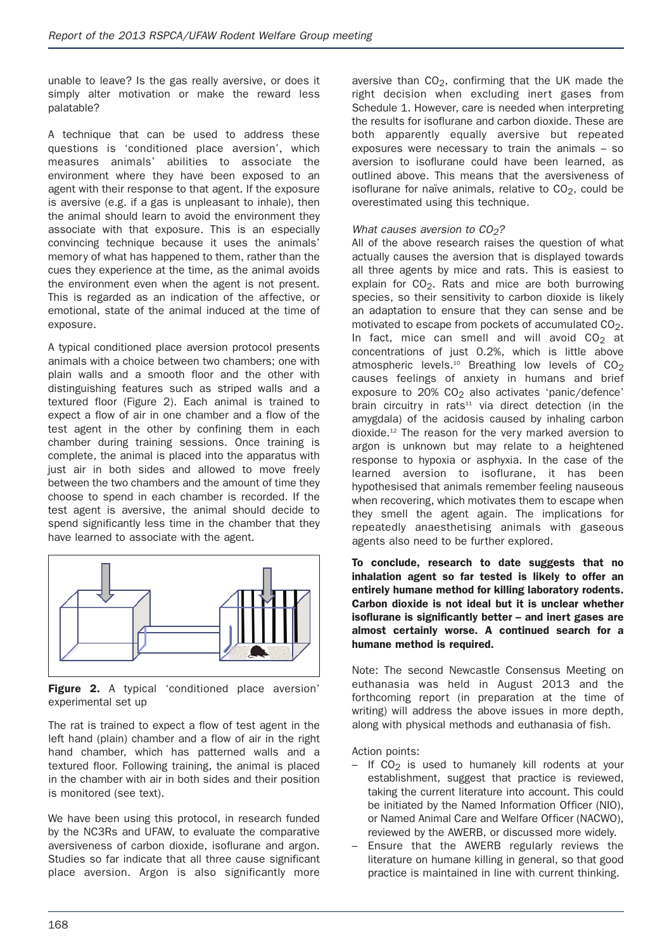unable to leave? Is the gas really aversive, or does it simply alter motivation or make the reward less palatable?

A technique that can be used to address these questions is 'conditioned place aversion', which measures animals' abilities to associate the environment where they have been exposed to an agent with their response to that agent. If the exposure is aversive (e.g. if a gas is unpleasant to inhale), then the animal should learn to avoid the environment they associate with that exposure. This is an especially convincing technique because it uses the animals' memory of what has happened to them, rather than the cues they experience at the time, as the animal avoids the environment even when the agent is not present. This is regarded as an indication of the affective, or emotional, state of the animal induced at the time of exposure.

A typical conditioned place aversion protocol presents animals with a choice between two chambers; one with plain walls and a smooth floor and the other with distinguishing features such as striped walls and a textured floor (Figure 2). Each animal is trained to expect a flow of air in one chamber and a flow of the test agent in the other by confining them in each chamber during training sessions. Once training is complete, the animal is placed into the apparatus with just air in both sides and allowed to move freely between the two chambers and the amount of time they choose to spend in each chamber is recorded. If the test agent is aversive, the animal should decide to spend significantly less time in the chamber that they have learned to associate with the agent.



**Figure 2.** A typical 'conditioned place aversion' experimental set up

The rat is trained to expect a flow of test agent in the left hand (plain) chamber and a flow of air in the right hand chamber, which has patterned walls and a textured floor. Following training, the animal is placed in the chamber with air in both sides and their position is monitored (see text).

We have been using this protocol, in research funded by the NC3Rs and UFAW, to evaluate the comparative aversiveness of carbon dioxide, isoflurane and argon. Studies so far indicate that all three cause significant place aversion. Argon is also significantly more aversive than  $CO<sub>2</sub>$ , confirming that the UK made the right decision when excluding inert gases from Schedule 1. However, care is needed when interpreting the results for isoflurane and carbon dioxide. These are both apparently equally aversive but repeated exposures were necessary to train the animals – so aversion to isoflurane could have been learned, as outlined above. This means that the aversiveness of isoflurane for naïve animals, relative to  $CO<sub>2</sub>$ , could be overestimated using this technique.

#### *What causes aversion to CO<sub>2</sub>?*

All of the above research raises the question of what actually causes the aversion that is displayed towards all three agents by mice and rats. This is easiest to explain for  $CO<sub>2</sub>$ . Rats and mice are both burrowing species, so their sensitivity to carbon dioxide is likely an adaptation to ensure that they can sense and be motivated to escape from pockets of accumulated CO2. In fact, mice can smell and will avoid  $CO<sub>2</sub>$  at concentrations of just 0.2%, which is little above atmospheric levels.<sup>10</sup> Breathing low levels of  $CO<sub>2</sub>$ causes feelings of anxiety in humans and brief exposure to  $20\%$  CO<sub>2</sub> also activates 'panic/defence' brain circuitry in rats<sup>11</sup> via direct detection (in the amygdala) of the acidosis caused by inhaling carbon dioxide. <sup>12</sup> The reason for the very marked aversion to argon is unknown but may relate to a heightened response to hypoxia or asphyxia. In the case of the learned aversion to isoflurane, it has been hypothesised that animals remember feeling nauseous when recovering, which motivates them to escape when they smell the agent again. The implications for repeatedly anaesthetising animals with gaseous agents also need to be further explored.

#### **To conclude, research to date suggests that no inhalation agent so far tested is likely to offer an entirely humane method for killing laboratory rodents. Carbon dioxide is not ideal but it is unclear whether isoflurane is significantly better – and inert gases are almost certainly worse. A continued search for a humane method is required.**

Note: The second Newcastle Consensus Meeting on euthanasia was held in August 2013 and the forthcoming report (in preparation at the time of writing) will address the above issues in more depth, along with physical methods and euthanasia of fish.

- $-$  If CO<sub>2</sub> is used to humanely kill rodents at your establishment, suggest that practice is reviewed, taking the current literature into account. This could be initiated by the Named Information Officer (NIO), or Named Animal Care and Welfare Officer (NACWO), reviewed by the AWERB, or discussed more widely.
- Ensure that the AWERB regularly reviews the literature on humane killing in general, so that good practice is maintained in line with current thinking.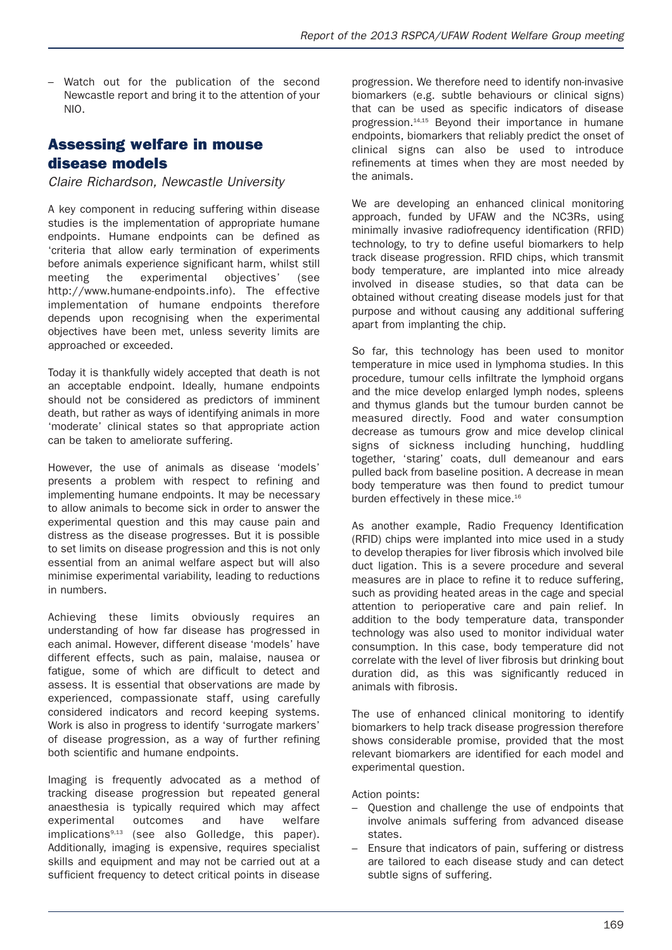– Watch out for the publication of the second Newcastle report and bring it to the attention of your NIO.

### **Assessing welfare in mouse disease models**

*Claire Richardson, Newcastle University*

A key component in reducing suffering within disease studies is the implementation of appropriate humane endpoints. Humane endpoints can be defined as 'criteria that allow early termination of experiments before animals experience significant harm, whilst still meeting the experimental objectives' (see http://www.humane-endpoints.info). The effective implementation of humane endpoints therefore depends upon recognising when the experimental objectives have been met, unless severity limits are approached or exceeded.

Today it is thankfully widely accepted that death is not an acceptable endpoint. Ideally, humane endpoints should not be considered as predictors of imminent death, but rather as ways of identifying animals in more 'moderate' clinical states so that appropriate action can be taken to ameliorate suffering.

However, the use of animals as disease 'models' presents a problem with respect to refining and implementing humane endpoints. It may be necessary to allow animals to become sick in order to answer the experimental question and this may cause pain and distress as the disease progresses. But it is possible to set limits on disease progression and this is not only essential from an animal welfare aspect but will also minimise experimental variability, leading to reductions in numbers.

Achieving these limits obviously requires an understanding of how far disease has progressed in each animal. However, different disease 'models' have different effects, such as pain, malaise, nausea or fatigue, some of which are difficult to detect and assess. It is essential that observations are made by experienced, compassionate staff, using carefully considered indicators and record keeping systems. Work is also in progress to identify 'surrogate markers' of disease progression, as a way of further refining both scientific and humane endpoints.

Imaging is frequently advocated as a method of tracking disease progression but repeated general anaesthesia is typically required which may affect experimental outcomes and have welfare implications9,13 (see also Golledge, this paper). Additionally, imaging is expensive, requires specialist skills and equipment and may not be carried out at a sufficient frequency to detect critical points in disease progression. We therefore need to identify non-invasive biomarkers (e.g. subtle behaviours or clinical signs) that can be used as specific indicators of disease progression. 14,15 Beyond their importance in humane endpoints, biomarkers that reliably predict the onset of clinical signs can also be used to introduce refinements at times when they are most needed by the animals.

We are developing an enhanced clinical monitoring approach, funded by UFAW and the NC3Rs, using minimally invasive radiofrequency identification (RFID) technology, to try to define useful biomarkers to help track disease progression. RFID chips, which transmit body temperature, are implanted into mice already involved in disease studies, so that data can be obtained without creating disease models just for that purpose and without causing any additional suffering apart from implanting the chip.

So far, this technology has been used to monitor temperature in mice used in lymphoma studies. In this procedure, tumour cells infiltrate the lymphoid organs and the mice develop enlarged lymph nodes, spleens and thymus glands but the tumour burden cannot be measured directly. Food and water consumption decrease as tumours grow and mice develop clinical signs of sickness including hunching, huddling together, 'staring' coats, dull demeanour and ears pulled back from baseline position. A decrease in mean body temperature was then found to predict tumour burden effectively in these mice. $16$ 

As another example, Radio Frequency Identification (RFID) chips were implanted into mice used in a study to develop therapies for liver fibrosis which involved bile duct ligation. This is a severe procedure and several measures are in place to refine it to reduce suffering, such as providing heated areas in the cage and special attention to perioperative care and pain relief. In addition to the body temperature data, transponder technology was also used to monitor individual water consumption. In this case, body temperature did not correlate with the level of liver fibrosis but drinking bout duration did, as this was significantly reduced in animals with fibrosis.

The use of enhanced clinical monitoring to identify biomarkers to help track disease progression therefore shows considerable promise, provided that the most relevant biomarkers are identified for each model and experimental question.

- Question and challenge the use of endpoints that involve animals suffering from advanced disease states.
- Ensure that indicators of pain, suffering or distress are tailored to each disease study and can detect subtle signs of suffering.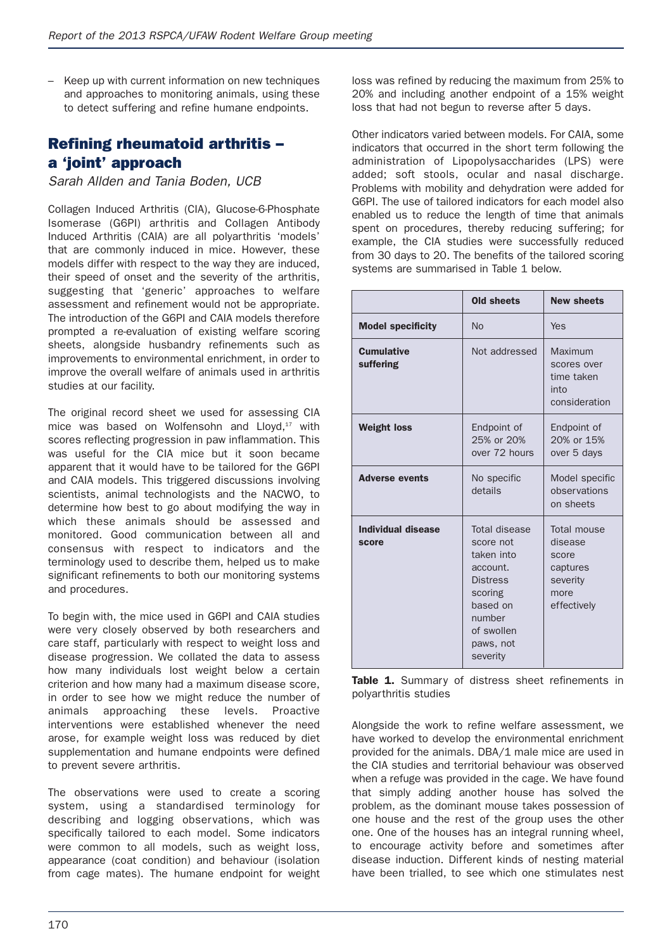– Keep up with current information on new techniques and approaches to monitoring animals, using these to detect suffering and refine humane endpoints.

# **Refining rheumatoid arthritis – a 'joint' approach**

*Sarah Allden and Tania Boden, UCB*

Collagen Induced Arthritis (CIA), Glucose-6-Phosphate Isomerase (G6PI) arthritis and Collagen Antibody Induced Arthritis (CAIA) are all polyarthritis 'models' that are commonly induced in mice. However, these models differ with respect to the way they are induced, their speed of onset and the severity of the arthritis, suggesting that 'generic' approaches to welfare assessment and refinement would not be appropriate. The introduction of the G6PI and CAIA models therefore prompted a re-evaluation of existing welfare scoring sheets, alongside husbandry refinements such as improvements to environmental enrichment, in order to improve the overall welfare of animals used in arthritis studies at our facility.

The original record sheet we used for assessing CIA mice was based on Wolfensohn and Lloyd, <sup>17</sup> with scores reflecting progression in paw inflammation. This was useful for the CIA mice but it soon became apparent that it would have to be tailored for the G6PI and CAIA models. This triggered discussions involving scientists, animal technologists and the NACWO, to determine how best to go about modifying the way in which these animals should be assessed and monitored. Good communication between all and consensus with respect to indicators and the terminology used to describe them, helped us to make significant refinements to both our monitoring systems and procedures.

To begin with, the mice used in G6PI and CAIA studies were very closely observed by both researchers and care staff, particularly with respect to weight loss and disease progression. We collated the data to assess how many individuals lost weight below a certain criterion and how many had a maximum disease score, in order to see how we might reduce the number of animals approaching these levels. Proactive interventions were established whenever the need arose, for example weight loss was reduced by diet supplementation and humane endpoints were defined to prevent severe arthritis.

The observations were used to create a scoring system, using a standardised terminology for describing and logging observations, which was specifically tailored to each model. Some indicators were common to all models, such as weight loss, appearance (coat condition) and behaviour (isolation from cage mates). The humane endpoint for weight loss was refined by reducing the maximum from 25% to 20% and including another endpoint of a 15% weight loss that had not begun to reverse after 5 days.

Other indicators varied between models. For CAIA, some indicators that occurred in the short term following the administration of Lipopolysaccharides (LPS) were added; soft stools, ocular and nasal discharge. Problems with mobility and dehydration were added for G6PI. The use of tailored indicators for each model also enabled us to reduce the length of time that animals spent on procedures, thereby reducing suffering; for example, the CIA studies were successfully reduced from 30 days to 20. The benefits of the tailored scoring systems are summarised in Table 1 below.

|                                | <b>Old sheets</b>                                                                                                                               | <b>New sheets</b>                                                              |
|--------------------------------|-------------------------------------------------------------------------------------------------------------------------------------------------|--------------------------------------------------------------------------------|
| <b>Model specificity</b>       | <b>No</b>                                                                                                                                       | Yes                                                                            |
| <b>Cumulative</b><br>suffering | Not addressed                                                                                                                                   | Maximum<br>scores over<br>time taken<br>into<br>consideration                  |
| <b>Weight loss</b>             | Endpoint of<br>25% or 20%<br>over 72 hours                                                                                                      | Endpoint of<br>20% or 15%<br>over 5 days                                       |
| <b>Adverse events</b>          | No specific<br>details                                                                                                                          | Model specific<br>observations<br>on sheets                                    |
| Individual disease<br>score    | Total disease<br>score not<br>taken into<br>account.<br><b>Distress</b><br>scoring<br>based on<br>number<br>of swollen<br>paws, not<br>severity | Total mouse<br>disease<br>score<br>captures<br>severity<br>more<br>effectively |

**Table 1.** Summary of distress sheet refinements in polyarthritis studies

Alongside the work to refine welfare assessment, we have worked to develop the environmental enrichment provided for the animals. DBA/1 male mice are used in the CIA studies and territorial behaviour was observed when a refuge was provided in the cage. We have found that simply adding another house has solved the problem, as the dominant mouse takes possession of one house and the rest of the group uses the other one. One of the houses has an integral running wheel, to encourage activity before and sometimes after disease induction. Different kinds of nesting material have been trialled, to see which one stimulates nest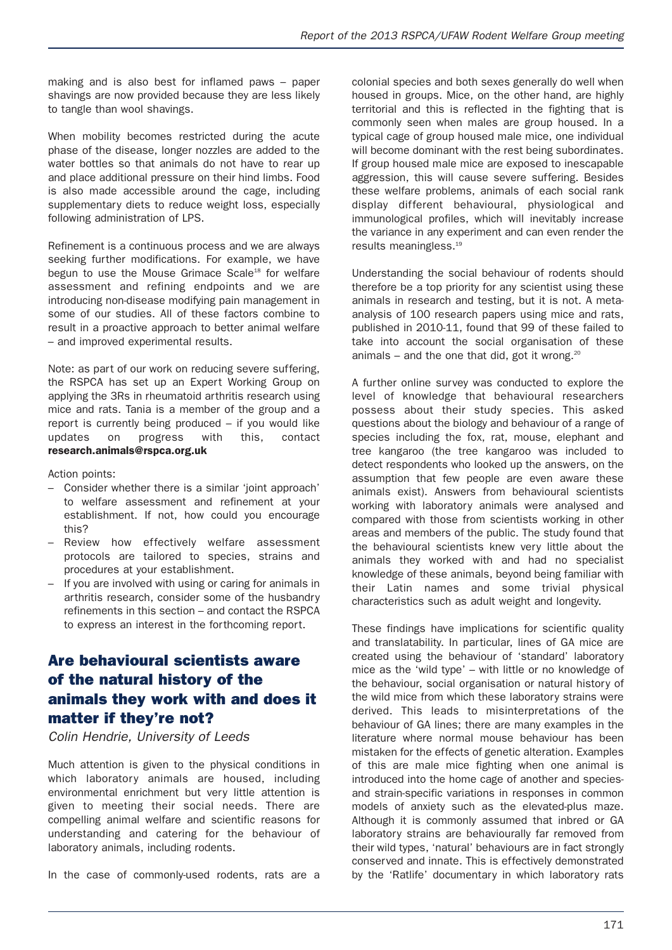making and is also best for inflamed paws – paper shavings are now provided because they are less likely to tangle than wool shavings.

When mobility becomes restricted during the acute phase of the disease, longer nozzles are added to the water bottles so that animals do not have to rear up and place additional pressure on their hind limbs. Food is also made accessible around the cage, including supplementary diets to reduce weight loss, especially following administration of LPS.

Refinement is a continuous process and we are always seeking further modifications. For example, we have begun to use the Mouse Grimace Scale<sup>18</sup> for welfare assessment and refining endpoints and we are introducing non-disease modifying pain management in some of our studies. All of these factors combine to result in a proactive approach to better animal welfare – and improved experimental results.

Note: as part of our work on reducing severe suffering, the RSPCA has set up an Expert Working Group on applying the 3Rs in rheumatoid arthritis research using mice and rats. Tania is a member of the group and a report is currently being produced – if you would like updates on progress with this, contact **research.animals@rspca.org.uk**

Action points:

- Consider whether there is a similar 'joint approach' to welfare assessment and refinement at your establishment. If not, how could you encourage this?
- Review how effectively welfare assessment protocols are tailored to species, strains and procedures at your establishment.
- If you are involved with using or caring for animals in arthritis research, consider some of the husbandry refinements in this section – and contact the RSPCA to express an interest in the forthcoming report.

# **Are behavioural scientists aware of the natural history of the animals they work with and does it matter if they're not?**

*Colin Hendrie, University of Leeds*

Much attention is given to the physical conditions in which laboratory animals are housed, including environmental enrichment but very little attention is given to meeting their social needs. There are compelling animal welfare and scientific reasons for understanding and catering for the behaviour of laboratory animals, including rodents.

In the case of commonly-used rodents, rats are a

colonial species and both sexes generally do well when housed in groups. Mice, on the other hand, are highly territorial and this is reflected in the fighting that is commonly seen when males are group housed. In a typical cage of group housed male mice, one individual will become dominant with the rest being subordinates. If group housed male mice are exposed to inescapable aggression, this will cause severe suffering. Besides these welfare problems, animals of each social rank display different behavioural, physiological and immunological profiles, which will inevitably increase the variance in any experiment and can even render the results meaningless. 19

Understanding the social behaviour of rodents should therefore be a top priority for any scientist using these animals in research and testing, but it is not. A metaanalysis of 100 research papers using mice and rats, published in 2010-11, found that 99 of these failed to take into account the social organisation of these animals – and the one that did, got it wrong.<sup>20</sup>

A further online survey was conducted to explore the level of knowledge that behavioural researchers possess about their study species. This asked questions about the biology and behaviour of a range of species including the fox, rat, mouse, elephant and tree kangaroo (the tree kangaroo was included to detect respondents who looked up the answers, on the assumption that few people are even aware these animals exist). Answers from behavioural scientists working with laboratory animals were analysed and compared with those from scientists working in other areas and members of the public. The study found that the behavioural scientists knew very little about the animals they worked with and had no specialist knowledge of these animals, beyond being familiar with their Latin names and some trivial physical characteristics such as adult weight and longevity.

These findings have implications for scientific quality and translatability. In particular, lines of GA mice are created using the behaviour of 'standard' laboratory mice as the 'wild type' – with little or no knowledge of the behaviour, social organisation or natural history of the wild mice from which these laboratory strains were derived. This leads to misinterpretations of the behaviour of GA lines; there are many examples in the literature where normal mouse behaviour has been mistaken for the effects of genetic alteration. Examples of this are male mice fighting when one animal is introduced into the home cage of another and speciesand strain-specific variations in responses in common models of anxiety such as the elevated-plus maze. Although it is commonly assumed that inbred or GA laboratory strains are behaviourally far removed from their wild types, 'natural' behaviours are in fact strongly conserved and innate. This is effectively demonstrated by the 'Ratlife' documentary in which laboratory rats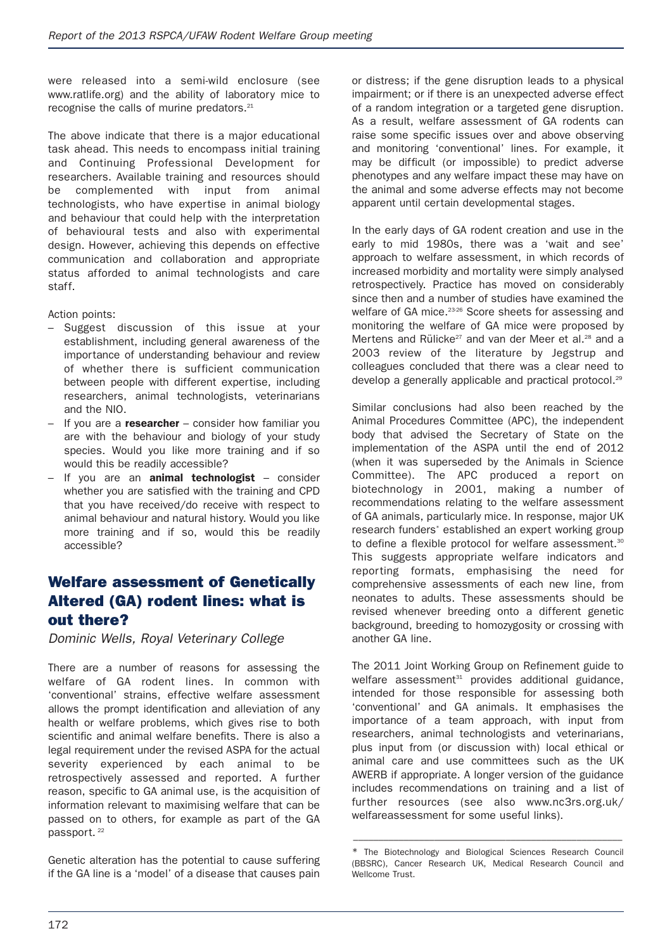were released into a semi-wild enclosure (see www.ratlife.org) and the ability of laboratory mice to recognise the calls of murine predators.<sup>21</sup>

The above indicate that there is a major educational task ahead. This needs to encompass initial training and Continuing Professional Development for researchers. Available training and resources should be complemented with input from animal technologists, who have expertise in animal biology and behaviour that could help with the interpretation of behavioural tests and also with experimental design. However, achieving this depends on effective communication and collaboration and appropriate status afforded to animal technologists and care staff.

Action points:

- Suggest discussion of this issue at your establishment, including general awareness of the importance of understanding behaviour and review of whether there is sufficient communication between people with different expertise, including researchers, animal technologists, veterinarians and the NIO.
- If you are a **researcher** consider how familiar you are with the behaviour and biology of your study species. Would you like more training and if so would this be readily accessible?
- If you are an **animal technologist** consider whether you are satisfied with the training and CPD that you have received/do receive with respect to animal behaviour and natural history. Would you like more training and if so, would this be readily accessible?

# **Welfare assessment of Genetically Altered (GA) rodent lines: what is out there?**

*Dominic Wells, Royal Veterinary College*

There are a number of reasons for assessing the welfare of GA rodent lines. In common with 'conventional' strains, effective welfare assessment allows the prompt identification and alleviation of any health or welfare problems, which gives rise to both scientific and animal welfare benefits. There is also a legal requirement under the revised ASPA for the actual severity experienced by each animal to be retrospectively assessed and reported. A further reason, specific to GA animal use, is the acquisition of information relevant to maximising welfare that can be passed on to others, for example as part of the GA passport.<sup>22</sup>

Genetic alteration has the potential to cause suffering if the GA line is a 'model' of a disease that causes pain or distress; if the gene disruption leads to a physical impairment; or if there is an unexpected adverse effect of a random integration or a targeted gene disruption. As a result, welfare assessment of GA rodents can raise some specific issues over and above observing and monitoring 'conventional' lines. For example, it may be difficult (or impossible) to predict adverse phenotypes and any welfare impact these may have on the animal and some adverse effects may not become apparent until certain developmental stages.

In the early days of GA rodent creation and use in the early to mid 1980s, there was a 'wait and see' approach to welfare assessment, in which records of increased morbidity and mortality were simply analysed retrospectively. Practice has moved on considerably since then and a number of studies have examined the welfare of GA mice.<sup>23-26</sup> Score sheets for assessing and monitoring the welfare of GA mice were proposed by Mertens and Rülicke<sup>27</sup> and van der Meer et al.<sup>28</sup> and a 2003 review of the literature by Jegstrup and colleagues concluded that there was a clear need to develop a generally applicable and practical protocol.<sup>29</sup>

Similar conclusions had also been reached by the Animal Procedures Committee (APC), the independent body that advised the Secretary of State on the implementation of the ASPA until the end of 2012 (when it was superseded by the Animals in Science Committee). The APC produced a report on biotechnology in 2001, making a number of recommendations relating to the welfare assessment of GA animals, particularly mice. In response, major UK research funders\* established an expert working group to define a flexible protocol for welfare assessment.<sup>30</sup> This suggests appropriate welfare indicators and reporting formats, emphasising the need for comprehensive assessments of each new line, from neonates to adults. These assessments should be revised whenever breeding onto a different genetic background, breeding to homozygosity or crossing with another GA line.

The 2011 Joint Working Group on Refinement guide to welfare assessment<sup>31</sup> provides additional guidance. intended for those responsible for assessing both 'conventional' and GA animals. It emphasises the importance of a team approach, with input from researchers, animal technologists and veterinarians, plus input from (or discussion with) local ethical or animal care and use committees such as the UK AWERB if appropriate. A longer version of the guidance includes recommendations on training and a list of further resources (see also www.nc3rs.org.uk/ welfareassessment for some useful links).

–––––––––––––––––––––––––––––––––––––––––––––––––––––

<sup>\*</sup> The Biotechnology and Biological Sciences Research Council (BBSRC), Cancer Research UK, Medical Research Council and Wellcome Trust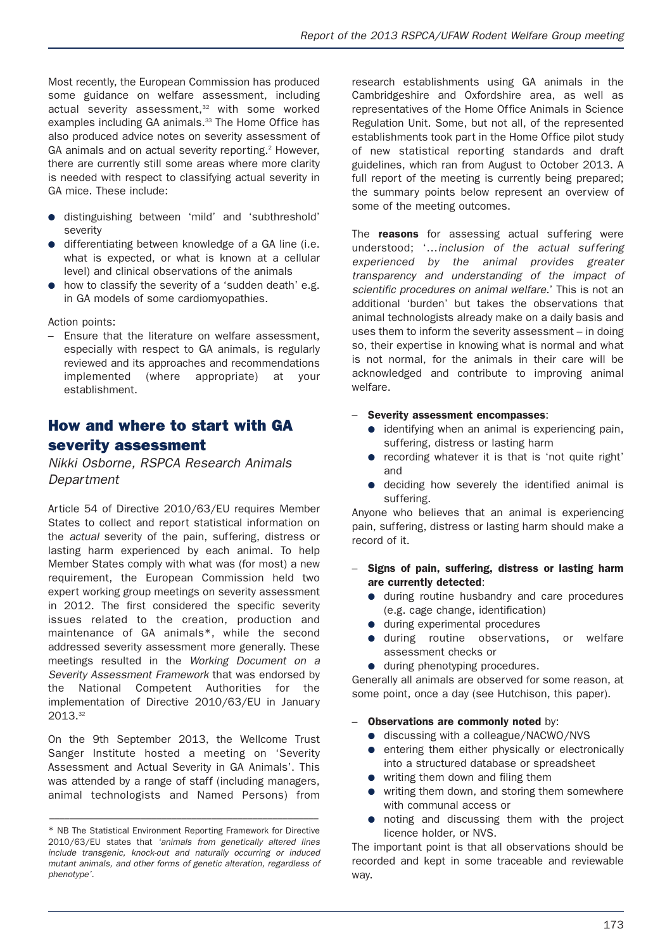Most recently, the European Commission has produced some guidance on welfare assessment, including actual severity assessment, <sup>32</sup> with some worked examples including GA animals.<sup>33</sup> The Home Office has also produced advice notes on severity assessment of GA animals and on actual severity reporting. <sup>2</sup> However, there are currently still some areas where more clarity is needed with respect to classifying actual severity in GA mice. These include:

- distinguishing between 'mild' and 'subthreshold' severity
- differentiating between knowledge of a GA line (i.e. what is expected, or what is known at a cellular level) and clinical observations of the animals
- how to classify the severity of a 'sudden death' e.g. in GA models of some cardiomyopathies.

Action points:

– Ensure that the literature on welfare assessment, especially with respect to GA animals, is regularly reviewed and its approaches and recommendations implemented (where appropriate) at your establishment.

### **How and where to start with GA severity assessment**

*Nikki Osborne, RSPCA Research Animals Department*

Article 54 of Directive 2010/63/EU requires Member States to collect and report statistical information on the *actual* severity of the pain, suffering, distress or lasting harm experienced by each animal. To help Member States comply with what was (for most) a new requirement, the European Commission held two expert working group meetings on severity assessment in 2012. The first considered the specific severity issues related to the creation, production and maintenance of GA animals\*, while the second addressed severity assessment more generally. These meetings resulted in the *Working Document on a Severity Assessment Framework* that was endorsed by the National Competent Authorities for the implementation of Directive 2010/63/EU in January 2013. 32

On the 9th September 2013, the Wellcome Trust Sanger Institute hosted a meeting on 'Severity Assessment and Actual Severity in GA Animals'. This was attended by a range of staff (including managers, animal technologists and Named Persons) from

–––––––––––––––––––––––––––––––––––––––––––––––––––––

research establishments using GA animals in the Cambridgeshire and Oxfordshire area, as well as representatives of the Home Office Animals in Science Regulation Unit. Some, but not all, of the represented establishments took part in the Home Office pilot study of new statistical reporting standards and draft guidelines, which ran from August to October 2013. A full report of the meeting is currently being prepared; the summary points below represent an overview of some of the meeting outcomes.

The **reasons** for assessing actual suffering were understood; '…*inclusion of the actual suffering experienced by the animal provides greater transparency and understanding of the impact of scientific procedures on animal welfare.*' This is not an additional 'burden' but takes the observations that animal technologists already make on a daily basis and uses them to inform the severity assessment – in doing so, their expertise in knowing what is normal and what is not normal, for the animals in their care will be acknowledged and contribute to improving animal welfare.

#### – **Severity assessment encompasses**:

- identifying when an animal is experiencing pain, suffering, distress or lasting harm
- recording whatever it is that is 'not quite right' and
- deciding how severely the identified animal is suffering.

Anyone who believes that an animal is experiencing pain, suffering, distress or lasting harm should make a record of it.

- **Signs of pain, suffering, distress or lasting harm are currently detected**:
	- during routine husbandry and care procedures (e.g. cage change, identification)
	- during experimental procedures
	- during routine observations, or welfare assessment checks or
	- during phenotyping procedures.

Generally all animals are observed for some reason, at some point, once a day (see Hutchison, this paper).

#### – **Observations are commonly noted** by:

- discussing with a colleague/NACWO/NVS
- entering them either physically or electronically into a structured database or spreadsheet
- writing them down and filing them
- writing them down, and storing them somewhere with communal access or
- noting and discussing them with the project licence holder, or NVS.

The important point is that all observations should be recorded and kept in some traceable and reviewable way.

<sup>\*</sup> NB The Statistical Environment Reporting Framework for Directive 2010/63/EU states that *'animals from genetically altered lines include transgenic, knock-out and naturally occurring or induced mutant animals, and other forms of genetic alteration, regardless of phenotype'.*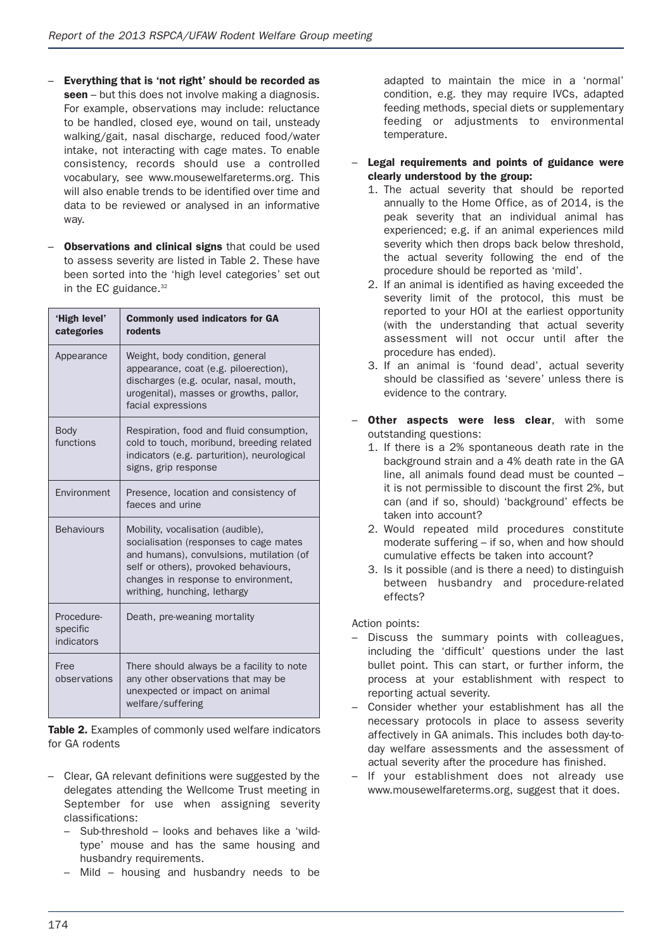- **Everything that is 'not right' should be recorded as seen** – but this does not involve making a diagnosis. For example, observations may include: reluctance to be handled, closed eye, wound on tail, unsteady walking/gait, nasal discharge, reduced food/water intake, not interacting with cage mates. To enable consistency, records should use a controlled vocabulary, see www.mousewelfareterms.org. This will also enable trends to be identified over time and data to be reviewed or analysed in an informative way.
- **Observations and clinical signs** that could be used to assess severity are listed in Table 2. These have been sorted into the 'high level categories' set out in the EC guidance. 32

| 'High level'<br>categories           | <b>Commonly used indicators for GA</b><br>rodents                                                                                                                                                                                       |
|--------------------------------------|-----------------------------------------------------------------------------------------------------------------------------------------------------------------------------------------------------------------------------------------|
| Appearance                           | Weight, body condition, general<br>appearance, coat (e.g. piloerection),<br>discharges (e.g. ocular, nasal, mouth,<br>urogenital), masses or growths, pallor,<br>facial expressions                                                     |
| <b>Body</b><br>functions             | Respiration, food and fluid consumption,<br>cold to touch, moribund, breeding related<br>indicators (e.g. parturition), neurological<br>signs, grip response                                                                            |
| Environment                          | Presence, location and consistency of<br>faeces and urine                                                                                                                                                                               |
| <b>Behaviours</b>                    | Mobility, vocalisation (audible),<br>socialisation (responses to cage mates<br>and humans), convulsions, mutilation (of<br>self or others), provoked behaviours,<br>changes in response to environment,<br>writhing, hunching, lethargy |
| Procedure-<br>specific<br>indicators | Death, pre-weaning mortality                                                                                                                                                                                                            |
| Free<br>observations                 | There should always be a facility to note<br>any other observations that may be<br>unexpected or impact on animal<br>welfare/suffering                                                                                                  |

**Table 2.** Examples of commonly used welfare indicators for GA rodents

- Clear, GA relevant definitions were suggested by the delegates attending the Wellcome Trust meeting in September for use when assigning severity classifications:
	- Sub-threshold looks and behaves like a 'wildtype' mouse and has the same housing and husbandry requirements.
	- Mild housing and husbandry needs to be

adapted to maintain the mice in a 'normal' condition, e.g. they may require IVCs, adapted feeding methods, special diets or supplementary feeding or adjustments to environmental temperature.

- **Legal requirements and points of guidance were clearly understood by the group:**
	- 1. The actual severity that should be reported annually to the Home Office, as of 2014, is the peak severity that an individual animal has experienced; e.g. if an animal experiences mild severity which then drops back below threshold. the actual severity following the end of the procedure should be reported as 'mild'.
	- 2. If an animal is identified as having exceeded the severity limit of the protocol, this must be reported to your HOI at the earliest opportunity (with the understanding that actual severity assessment will not occur until after the procedure has ended).
	- 3. If an animal is 'found dead', actual severity should be classified as 'severe' unless there is evidence to the contrary.
- **Other aspects were less clear**, with some outstanding questions:
	- 1. If there is a 2% spontaneous death rate in the background strain and a 4% death rate in the GA line, all animals found dead must be counted – it is not permissible to discount the first 2%, but can (and if so, should) 'background' effects be taken into account?
	- 2. Would repeated mild procedures constitute moderate suffering – if so, when and how should cumulative effects be taken into account?
	- 3. Is it possible (and is there a need) to distinguish between husbandry and procedure-related effects?

- Discuss the summary points with colleagues, including the 'difficult' questions under the last bullet point. This can start, or further inform, the process at your establishment with respect to reporting actual severity.
- Consider whether your establishment has all the necessary protocols in place to assess severity affectively in GA animals. This includes both day-today welfare assessments and the assessment of actual severity after the procedure has finished.
- If your establishment does not already use www.mousewelfareterms.org, suggest that it does.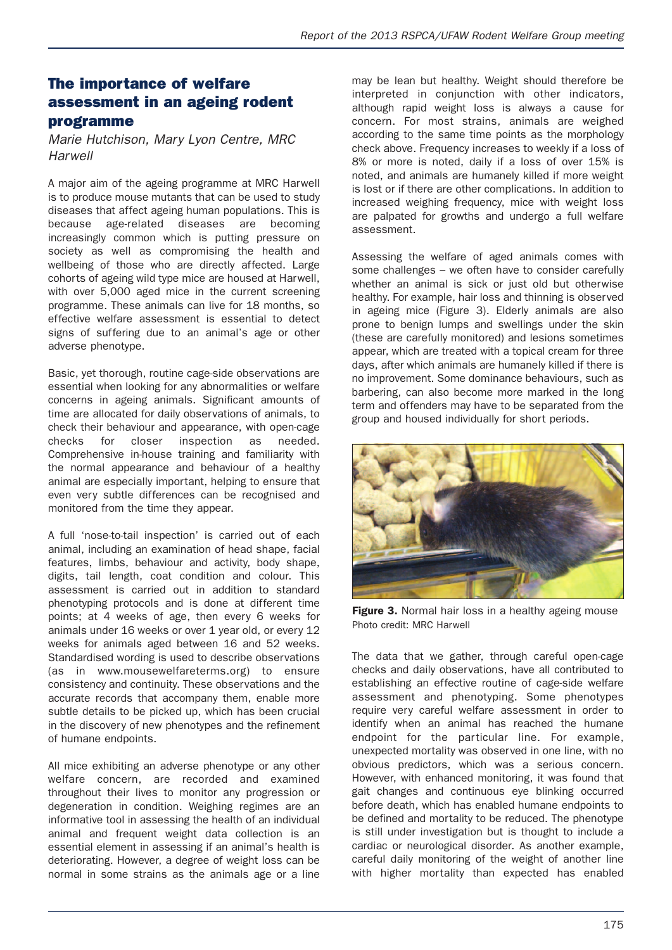### **The importance of welfare assessment in an ageing rodent programme**

*Marie Hutchison, Mary Lyon Centre, MRC Harwell*

A major aim of the ageing programme at MRC Harwell is to produce mouse mutants that can be used to study diseases that affect ageing human populations. This is because age-related diseases are becoming increasingly common which is putting pressure on society as well as compromising the health and wellbeing of those who are directly affected. Large cohorts of ageing wild type mice are housed at Harwell, with over 5,000 aged mice in the current screening programme. These animals can live for 18 months, so effective welfare assessment is essential to detect signs of suffering due to an animal's age or other adverse phenotype.

Basic, yet thorough, routine cage-side observations are essential when looking for any abnormalities or welfare concerns in ageing animals. Significant amounts of time are allocated for daily observations of animals, to check their behaviour and appearance, with open-cage checks for closer inspection as needed. Comprehensive in-house training and familiarity with the normal appearance and behaviour of a healthy animal are especially important, helping to ensure that even very subtle differences can be recognised and monitored from the time they appear.

A full 'nose-to-tail inspection' is carried out of each animal, including an examination of head shape, facial features, limbs, behaviour and activity, body shape, digits, tail length, coat condition and colour. This assessment is carried out in addition to standard phenotyping protocols and is done at different time points; at 4 weeks of age, then every 6 weeks for animals under 16 weeks or over 1 year old, or every 12 weeks for animals aged between 16 and 52 weeks. Standardised wording is used to describe observations (as in www.mousewelfareterms.org) to ensure consistency and continuity. These observations and the accurate records that accompany them, enable more subtle details to be picked up, which has been crucial in the discovery of new phenotypes and the refinement of humane endpoints.

All mice exhibiting an adverse phenotype or any other welfare concern, are recorded and examined throughout their lives to monitor any progression or degeneration in condition. Weighing regimes are an informative tool in assessing the health of an individual animal and frequent weight data collection is an essential element in assessing if an animal's health is deteriorating. However, a degree of weight loss can be normal in some strains as the animals age or a line

may be lean but healthy. Weight should therefore be interpreted in conjunction with other indicators, although rapid weight loss is always a cause for concern. For most strains, animals are weighed according to the same time points as the morphology check above. Frequency increases to weekly if a loss of 8% or more is noted, daily if a loss of over 15% is noted, and animals are humanely killed if more weight is lost or if there are other complications. In addition to increased weighing frequency, mice with weight loss are palpated for growths and undergo a full welfare assessment.

Assessing the welfare of aged animals comes with some challenges – we often have to consider carefully whether an animal is sick or just old but otherwise healthy. For example, hair loss and thinning is observed in ageing mice (Figure 3). Elderly animals are also prone to benign lumps and swellings under the skin (these are carefully monitored) and lesions sometimes appear, which are treated with a topical cream for three days, after which animals are humanely killed if there is no improvement. Some dominance behaviours, such as barbering, can also become more marked in the long term and offenders may have to be separated from the group and housed individually for short periods.



**Figure 3.** Normal hair loss in a healthy ageing mouse Photo credit: MRC Harwell

The data that we gather, through careful open-cage checks and daily observations, have all contributed to establishing an effective routine of cage-side welfare assessment and phenotyping. Some phenotypes require very careful welfare assessment in order to identify when an animal has reached the humane endpoint for the particular line. For example, unexpected mortality was observed in one line, with no obvious predictors, which was a serious concern. However, with enhanced monitoring, it was found that gait changes and continuous eye blinking occurred before death, which has enabled humane endpoints to be defined and mortality to be reduced. The phenotype is still under investigation but is thought to include a cardiac or neurological disorder. As another example, careful daily monitoring of the weight of another line with higher mortality than expected has enabled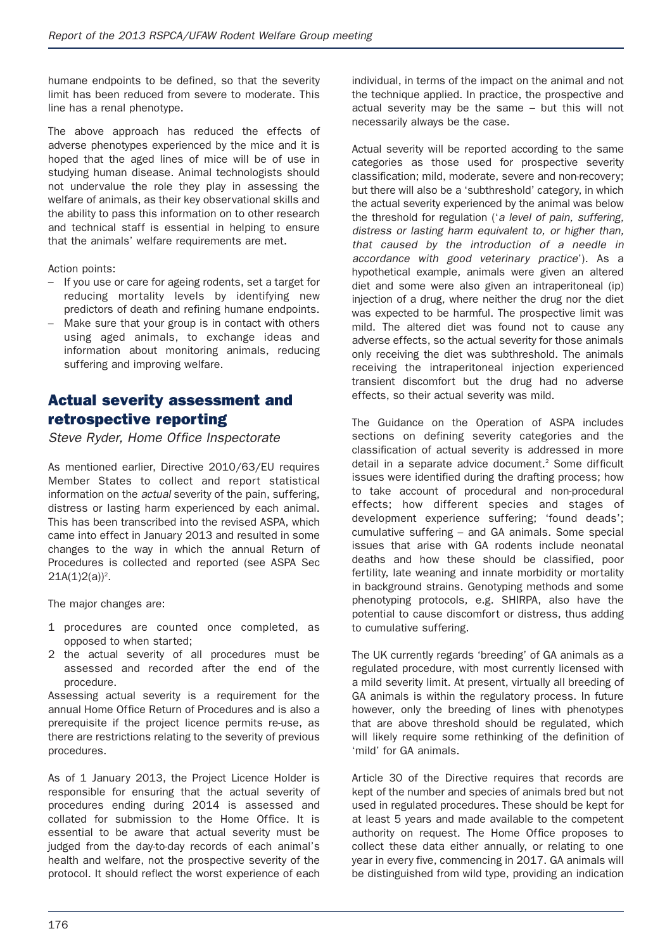humane endpoints to be defined, so that the severity limit has been reduced from severe to moderate. This line has a renal phenotype.

The above approach has reduced the effects of adverse phenotypes experienced by the mice and it is hoped that the aged lines of mice will be of use in studying human disease. Animal technologists should not undervalue the role they play in assessing the welfare of animals, as their key observational skills and the ability to pass this information on to other research and technical staff is essential in helping to ensure that the animals' welfare requirements are met.

Action points:

- If you use or care for ageing rodents, set a target for reducing mortality levels by identifying new predictors of death and refining humane endpoints.
- Make sure that your group is in contact with others using aged animals, to exchange ideas and information about monitoring animals, reducing suffering and improving welfare.

### **Actual severity assessment and retrospective reporting**

*Steve Ryder, Home Office Inspectorate*

As mentioned earlier, Directive 2010/63/EU requires Member States to collect and report statistical information on the *actual* severity of the pain, suffering, distress or lasting harm experienced by each animal. This has been transcribed into the revised ASPA, which came into effect in January 2013 and resulted in some changes to the way in which the annual Return of Procedures is collected and reported (see ASPA Sec  $21A(1)2(a))^2$ .

The major changes are:

- 1 procedures are counted once completed, as opposed to when started;
- 2 the actual severity of all procedures must be assessed and recorded after the end of the procedure.

Assessing actual severity is a requirement for the annual Home Office Return of Procedures and is also a prerequisite if the project licence permits re-use, as there are restrictions relating to the severity of previous procedures.

As of 1 January 2013, the Project Licence Holder is responsible for ensuring that the actual severity of procedures ending during 2014 is assessed and collated for submission to the Home Office. It is essential to be aware that actual severity must be judged from the day-to-day records of each animal's health and welfare, not the prospective severity of the protocol. It should reflect the worst experience of each individual, in terms of the impact on the animal and not the technique applied. In practice, the prospective and actual severity may be the same – but this will not necessarily always be the case.

Actual severity will be reported according to the same categories as those used for prospective severity classification; mild, moderate, severe and non-recovery; but there will also be a 'subthreshold' category, in which the actual severity experienced by the animal was below the threshold for regulation ('*a level of pain, suffering, distress or lasting harm equivalent to, or higher than, that caused by the introduction of a needle in accordance with good veterinary practice*'). As a hypothetical example, animals were given an altered diet and some were also given an intraperitoneal (ip) injection of a drug, where neither the drug nor the diet was expected to be harmful. The prospective limit was mild. The altered diet was found not to cause any adverse effects, so the actual severity for those animals only receiving the diet was subthreshold. The animals receiving the intraperitoneal injection experienced transient discomfort but the drug had no adverse effects, so their actual severity was mild.

The Guidance on the Operation of ASPA includes sections on defining severity categories and the classification of actual severity is addressed in more detail in a separate advice document. <sup>2</sup> Some difficult issues were identified during the drafting process; how to take account of procedural and non-procedural effects; how different species and stages of development experience suffering; 'found deads'; cumulative suffering – and GA animals. Some special issues that arise with GA rodents include neonatal deaths and how these should be classified, poor fertility, late weaning and innate morbidity or mortality in background strains. Genotyping methods and some phenotyping protocols, e.g. SHIRPA, also have the potential to cause discomfort or distress, thus adding to cumulative suffering.

The UK currently regards 'breeding' of GA animals as a regulated procedure, with most currently licensed with a mild severity limit. At present, virtually all breeding of GA animals is within the regulatory process. In future however, only the breeding of lines with phenotypes that are above threshold should be regulated, which will likely require some rethinking of the definition of 'mild' for GA animals.

Article 30 of the Directive requires that records are kept of the number and species of animals bred but not used in regulated procedures. These should be kept for at least 5 years and made available to the competent authority on request. The Home Office proposes to collect these data either annually, or relating to one year in every five, commencing in 2017. GA animals will be distinguished from wild type, providing an indication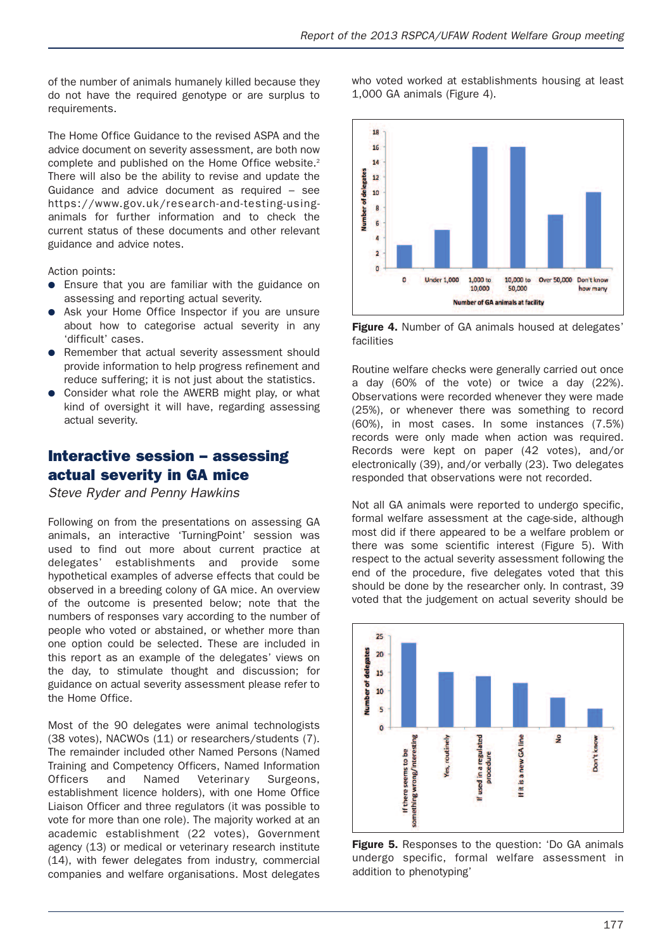of the number of animals humanely killed because they do not have the required genotype or are surplus to requirements.

The Home Office Guidance to the revised ASPA and the advice document on severity assessment, are both now complete and published on the Home Office website.<sup>2</sup> There will also be the ability to revise and update the Guidance and advice document as required – see https://www.gov.uk/research-and-testing-usinganimals for further information and to check the current status of these documents and other relevant guidance and advice notes.

Action points:

- Ensure that you are familiar with the guidance on assessing and reporting actual severity.
- Ask your Home Office Inspector if you are unsure about how to categorise actual severity in any 'difficult' cases.
- Remember that actual severity assessment should provide information to help progress refinement and reduce suffering; it is not just about the statistics.
- Consider what role the AWERB might play, or what kind of oversight it will have, regarding assessing actual severity.

# **Interactive session – assessing actual severity in GA mice**

*Steve Ryder and Penny Hawkins*

Following on from the presentations on assessing GA animals, an interactive 'TurningPoint' session was used to find out more about current practice at delegates' establishments and provide some hypothetical examples of adverse effects that could be observed in a breeding colony of GA mice. An overview of the outcome is presented below; note that the numbers of responses vary according to the number of people who voted or abstained, or whether more than one option could be selected. These are included in this report as an example of the delegates' views on the day, to stimulate thought and discussion; for guidance on actual severity assessment please refer to the Home Office.

Most of the 90 delegates were animal technologists (38 votes), NACWOs (11) or researchers/students (7). The remainder included other Named Persons (Named Training and Competency Officers, Named Information Officers and Named Veterinary Surgeons, establishment licence holders), with one Home Office Liaison Officer and three regulators (it was possible to vote for more than one role). The majority worked at an academic establishment (22 votes), Government agency (13) or medical or veterinary research institute (14), with fewer delegates from industry, commercial companies and welfare organisations. Most delegates who voted worked at establishments housing at least 1,000 GA animals (Figure 4).



**Figure 4.** Number of GA animals housed at delegates' facilities

Routine welfare checks were generally carried out once a day (60% of the vote) or twice a day (22%). Observations were recorded whenever they were made (25%), or whenever there was something to record (60%), in most cases. In some instances (7.5%) records were only made when action was required. Records were kept on paper (42 votes), and/or electronically (39), and/or verbally (23). Two delegates responded that observations were not recorded.

Not all GA animals were reported to undergo specific, formal welfare assessment at the cage-side, although most did if there appeared to be a welfare problem or there was some scientific interest (Figure 5). With respect to the actual severity assessment following the end of the procedure, five delegates voted that this should be done by the researcher only. In contrast, 39 voted that the judgement on actual severity should be



**Figure 5.** Responses to the question: 'Do GA animals undergo specific, formal welfare assessment in addition to phenotyping'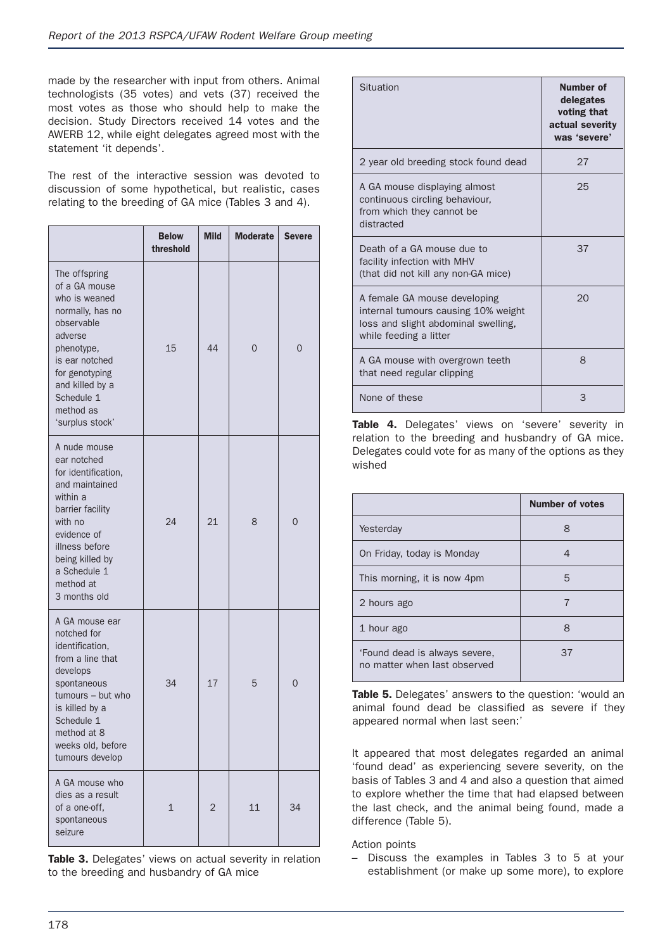made by the researcher with input from others. Animal technologists (35 votes) and vets (37) received the most votes as those who should help to make the decision. Study Directors received 14 votes and the AWERB 12, while eight delegates agreed most with the statement 'it depends'.

The rest of the interactive session was devoted to discussion of some hypothetical, but realistic, cases relating to the breeding of GA mice (Tables 3 and 4).

|                                                                                                                                                                                                                  | <b>Below</b><br>threshold | <b>Mild</b> | <b>Moderate</b> | <b>Severe</b> |
|------------------------------------------------------------------------------------------------------------------------------------------------------------------------------------------------------------------|---------------------------|-------------|-----------------|---------------|
| The offspring<br>of a GA mouse<br>who is weaned<br>normally, has no<br>observable<br>adverse<br>phenotype,<br>is ear notched<br>for genotyping<br>and killed by a<br>Schedule 1<br>method as<br>'surplus stock'  | 15                        | 44          | $\Omega$        | $\Omega$      |
| A nude mouse<br>ear notched<br>for identification.<br>and maintained<br>within a<br>barrier facility<br>with no<br>evidence of<br>illness before<br>being killed by<br>a Schedule 1<br>method at<br>3 months old | 24                        | 21          | 8               | $\Omega$      |
| A GA mouse ear<br>notched for<br>identification,<br>from a line that<br>develops<br>spontaneous<br>tumours - but who<br>is killed by a<br>Schedule 1<br>method at 8<br>weeks old, before<br>tumours develop      | 34                        | 17          | 5               | $\Omega$      |
| A GA mouse who<br>dies as a result<br>of a one-off,<br>spontaneous<br>seizure                                                                                                                                    | 1                         | 2           | 11              | 34            |

**Table 3.** Delegates' views on actual severity in relation to the breeding and husbandry of GA mice

| Situation                                                                                                                            | Number of<br>delegates<br>voting that<br>actual severity<br>was 'severe' |
|--------------------------------------------------------------------------------------------------------------------------------------|--------------------------------------------------------------------------|
| 2 year old breeding stock found dead                                                                                                 | 27                                                                       |
| A GA mouse displaying almost<br>continuous circling behaviour,<br>from which they cannot be<br>distracted                            | 25                                                                       |
| Death of a GA mouse due to<br>facility infection with MHV<br>(that did not kill any non-GA mice)                                     | 37                                                                       |
| A female GA mouse developing<br>internal tumours causing 10% weight<br>loss and slight abdominal swelling,<br>while feeding a litter | 20                                                                       |
| A GA mouse with overgrown teeth<br>that need regular clipping                                                                        | 8                                                                        |
| None of these                                                                                                                        | З                                                                        |

**Table 4.** Delegates' views on 'severe' severity in relation to the breeding and husbandry of GA mice. Delegates could vote for as many of the options as they wished

|                                                               | <b>Number of votes</b> |
|---------------------------------------------------------------|------------------------|
| Yesterday                                                     | 8                      |
| On Friday, today is Monday                                    | 4                      |
| This morning, it is now 4pm                                   | 5                      |
| 2 hours ago                                                   |                        |
| 1 hour ago                                                    | 8                      |
| 'Found dead is always severe,<br>no matter when last observed | 37                     |

**Table 5.** Delegates' answers to the question: 'would an animal found dead be classified as severe if they appeared normal when last seen:'

It appeared that most delegates regarded an animal 'found dead' as experiencing severe severity, on the basis of Tables 3 and 4 and also a question that aimed to explore whether the time that had elapsed between the last check, and the animal being found, made a difference (Table 5).

Action points

– Discuss the examples in Tables 3 to 5 at your establishment (or make up some more), to explore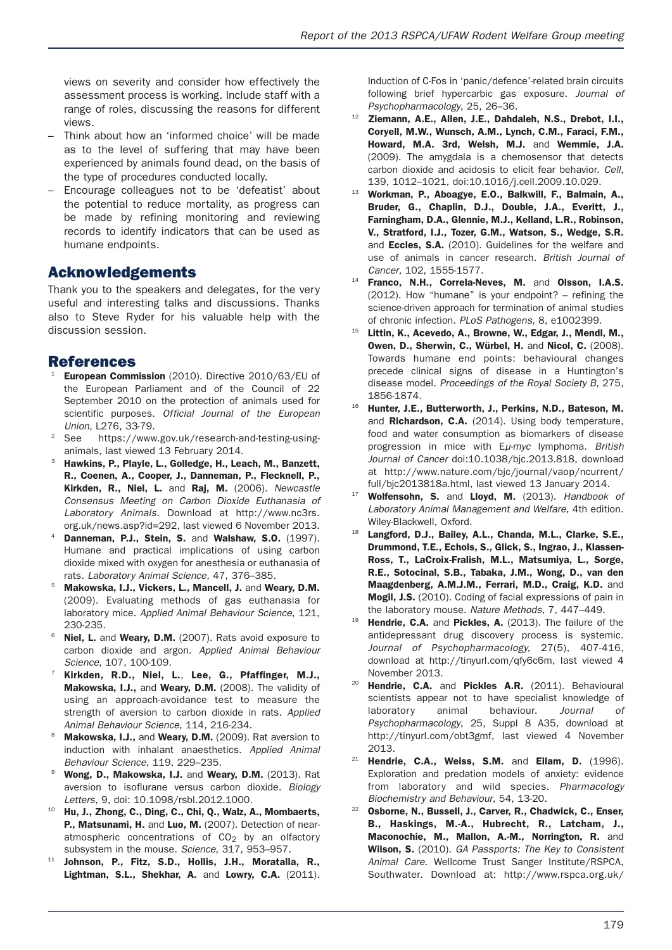views on severity and consider how effectively the assessment process is working. Include staff with a range of roles, discussing the reasons for different views.

- Think about how an 'informed choice' will be made as to the level of suffering that may have been experienced by animals found dead, on the basis of the type of procedures conducted locally.
- Encourage colleagues not to be 'defeatist' about the potential to reduce mortality, as progress can be made by refining monitoring and reviewing records to identify indicators that can be used as humane endpoints.

#### **Acknowledgements**

Thank you to the speakers and delegates, for the very useful and interesting talks and discussions. Thanks also to Steve Ryder for his valuable help with the discussion session.

#### **References**

- <sup>21</sup> **European Commission** (2010). Directive 2010/63/EU of the European Parliament and of the Council of 22 September 2010 on the protection of animals used for scientific purposes. *Official Journal of the European Union*, L276, 33-79.
- <sup>2</sup> See https://www.gov.uk/research-and-testing-usinganimals, last viewed 13 February 2014.
- <sup>23</sup> **Hawkins, P., Playle, L., Golledge, H., Leach, M., Banzett, R., Coenen, A., Cooper, J., Danneman, P., Flecknell, P., Kirkden, R., Niel, L.** and **Raj, M.** (2006). *Newcastle Consensus Meeting on Carbon Dioxide Euthanasia of* Laboratory Animals. Download at http://www.nc3rs. org.uk/news.asp?id=292, last viewed 6 November 2013.
- <sup>24</sup> **Danneman, P.J., Stein, S.** and **Walshaw, S.O.** (1997). Humane and practical implications of using carbon dioxide mixed with oxygen for anesthesia or euthanasia of rats. *Laboratory Animal Science,* 47, 376–385.
- <sup>25</sup> **Makowska, I.J., Vickers, L., Mancell, J.** and **Weary, D.M.** (2009). Evaluating methods of gas euthanasia for laboratory mice. *Applied Animal Behaviour Science*, 121, 230-235.
- <sup>26</sup> **Niel, L.** and **Weary, D.M.** (2007). Rats avoid exposure to carbon dioxide and argon. *Applied Animal Behaviour Science*, 107, 100-109.
- <sup>27</sup> **Kirkden, R.D., Niel, L.**, **Lee, G., Pfaffinger, M.J., Makowska, I.J.,** and **Weary, D.M.** (2008). The validity of using an approach-avoidance test to measure the strength of aversion to carbon dioxide in rats. *Applied Animal Behaviour Science*, 114, 216-234.
- <sup>28</sup> **Makowska, I.J.,** and **Weary, D.M.** (2009). Rat aversion to induction with inhalant anaesthetics. *Applied Animal Behaviour Science,* 119, 229–235.
- <sup>29</sup> **Wong, D., Makowska, I.J.** and **Weary, D.M.** (2013). Rat aversion to isoflurane versus carbon dioxide. *Biology Letters*, 9, doi: 10.1098/rsbl.2012.1000.
- <sup>10</sup> **Hu, J., Zhong, C., Ding, C., Chi, Q., Walz, A., Mombaerts, P., Matsunami, H.** and **Luo, M.** (2007). Detection of nearatmospheric concentrations of  $CO<sub>2</sub>$  by an olfactory subsystem in the mouse. *Science*, 317, 953–957.
- <sup>11</sup> **Johnson, P., Fitz, S.D., Hollis, J.H., Moratalla, R., Lightman, S.L., Shekhar, A.** and **Lowry, C.A.** (2011).

Induction of C-Fos in 'panic/defence'-related brain circuits following brief hypercarbic gas exposure. *Journal of Psychopharmacology*, 25, 26–36.

- <sup>12</sup> **Ziemann, A.E., Allen, J.E., Dahdaleh, N.S., Drebot, I.I., Coryell, M.W., Wunsch, A.M., Lynch, C.M., Faraci, F.M., Howard, M.A. 3rd, Welsh, M.J.** and **Wemmie, J.A.** (2009). The amygdala is a chemosensor that detects carbon dioxide and acidosis to elicit fear behavior. *Cell*, 139, 1012–1021, doi:10.1016/j.cell.2009.10.029.
- <sup>13</sup> **Workman, P., Aboagye, E.O., Balkwill, F., Balmain, A., Bruder, G., Chaplin, D.J., Double, J.A., Everitt, J., Farningham, D.A., Glennie, M.J., Kelland, L.R., Robinson, V., Stratford, I.J., Tozer, G.M., Watson, S., Wedge, S.R.** and **Eccles, S.A.** (2010). Guidelines for the welfare and use of animals in cancer research. *British Journal of Cancer*, 102, 1555-1577.
- <sup>14</sup> **Franco, N.H., Correla-Neves, M.** and **Olsson, I.A.S.** (2012). How "humane" is your endpoint? – refining the science-driven approach for termination of animal studies of chronic infection. *PLoS Pathogens*, 8, e1002399.
- <sup>15</sup> **Littin, K., Acevedo, A., Browne, W., Edgar, J., Mendl, M., Owen, D., Sherwin, C., Würbel, H.** and **Nicol, C.** (2008). Towards humane end points: behavioural changes precede clinical signs of disease in a Huntington's disease model. *Proceedings of the Royal Society B*, 275, 1856-1874.
- <sup>16</sup> **Hunter, J.E., Butterworth, J., Perkins, N.D., Bateson, M.** and **Richardson, C.A.** (2014). Using body temperature, food and water consumption as biomarkers of disease progression in mice with E*µ-myc* lymphoma. *British Journal of Cancer* doi:10.1038/bjc.2013.818, download at http://www.nature.com/bjc/journal/vaop/ncurrent/ full/bjc2013818a.html, last viewed 13 January 2014.
- <sup>17</sup> **Wolfensohn, S.** and **Lloyd, M.** (2013). *Handbook of Laboratory Animal Management and Welfare*, 4th edition. Wiley-Blackwell, Oxford.
- <sup>18</sup> **Langford, D.J., Bailey, A.L., Chanda, M.L., Clarke, S.E., Drummond, T.E., Echols, S., Glick, S., Ingrao, J., Klassen-Ross, T., LaCroix-Fralish, M.L., Matsumiya, L., Sorge, R.E., Sotocinal, S.B., Tabaka, J.M., Wong, D., van den Maagdenberg, A.M.J.M., Ferrari, M.D., Craig, K.D.** and **Mogil, J.S.** (2010). Coding of facial expressions of pain in the laboratory mouse. *Nature Methods*, 7, 447–449.
- <sup>19</sup> **Hendrie, C.A.** and **Pickles, A.** (2013). The failure of the antidepressant drug discovery process is systemic. *Journal of Psychopharmacology,* 27(5), 407-416, download at http://tinyurl.com/qfy6c6m, last viewed 4 November 2013.
- <sup>20</sup> **Hendrie, C.A.** and **Pickles A.R.** (2011). Behavioural scientists appear not to have specialist knowledge of laboratory animal behaviour. Journal of *Psychopharmacology*, 25, Suppl 8 A35, download at http://tinyurl.com/obt3gmf, last viewed 4 November 2013.
- <sup>21</sup> **Hendrie, C.A., Weiss, S.M.** and **Eilam, D.** (1996). Exploration and predation models of anxiety: evidence from laboratory and wild species. Pharmacology *Biochemistry and Behaviour*, 54, 13-20.
- <sup>22</sup> **Osborne, N., Bussell, J., Carver, R., Chadwick, C., Enser, B., Haskings, M.-A., Hubrecht, R., Latcham, J., Maconochie, M., Mallon, A.-M., Norrington, R.** and **Wilson, S.** (2010). *GA Passports: The Key to Consistent Animal Care.* Wellcome Trust Sanger Institute/RSPCA, Southwater. Download at: http://www.rspca.org.uk/